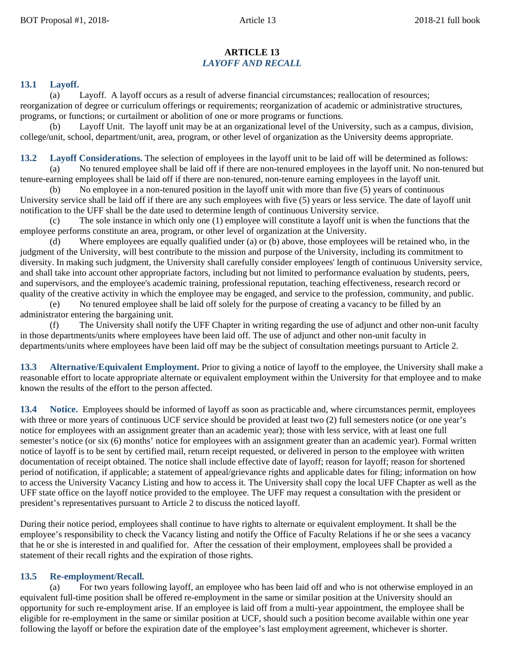## **ARTICLE 13** *LAYOFF AND RECALL*

## **13.1 Layoff.**

(a) Layoff. A layoff occurs as a result of adverse financial circumstances; reallocation of resources; reorganization of degree or curriculum offerings or requirements; reorganization of academic or administrative structures, programs, or functions; or curtailment or abolition of one or more programs or functions.

(b) Layoff Unit. The layoff unit may be at an organizational level of the University, such as a campus, division, college/unit, school, department/unit, area, program, or other level of organization as the University deems appropriate.

**13.2 Layoff Considerations.** The selection of employees in the layoff unit to be laid off will be determined as follows:

(a) No tenured employee shall be laid off if there are non-tenured employees in the layoff unit. No non-tenured but tenure-earning employees shall be laid off if there are non-tenured, non-tenure earning employees in the layoff unit.

No employee in a non-tenured position in the layoff unit with more than five  $(5)$  years of continuous University service shall be laid off if there are any such employees with five (5) years or less service. The date of layoff unit notification to the UFF shall be the date used to determine length of continuous University service.

The sole instance in which only one (1) employee will constitute a layoff unit is when the functions that the employee performs constitute an area, program, or other level of organization at the University.

(d) Where employees are equally qualified under (a) or (b) above, those employees will be retained who, in the judgment of the University, will best contribute to the mission and purpose of the University, including its commitment to diversity. In making such judgment, the University shall carefully consider employees' length of continuous University service, and shall take into account other appropriate factors, including but not limited to performance evaluation by students, peers, and supervisors, and the employee's academic training, professional reputation, teaching effectiveness, research record or quality of the creative activity in which the employee may be engaged, and service to the profession, community, and public.

(e) No tenured employee shall be laid off solely for the purpose of creating a vacancy to be filled by an administrator entering the bargaining unit.

(f) The University shall notify the UFF Chapter in writing regarding the use of adjunct and other non-unit faculty in those departments/units where employees have been laid off. The use of adjunct and other non-unit faculty in departments/units where employees have been laid off may be the subject of consultation meetings pursuant to Article 2.

**13.3 Alternative/Equivalent Employment.** Prior to giving a notice of layoff to the employee, the University shall make a reasonable effort to locate appropriate alternate or equivalent employment within the University for that employee and to make known the results of the effort to the person affected.

**13.4 Notice.** Employees should be informed of layoff as soon as practicable and, where circumstances permit, employees with three or more years of continuous UCF service should be provided at least two (2) full semesters notice (or one year's notice for employees with an assignment greater than an academic year); those with less service, with at least one full semester's notice (or six (6) months' notice for employees with an assignment greater than an academic year). Formal written notice of layoff is to be sent by certified mail, return receipt requested, or delivered in person to the employee with written documentation of receipt obtained. The notice shall include effective date of layoff; reason for layoff; reason for shortened period of notification, if applicable; a statement of appeal/grievance rights and applicable dates for filing; information on how to access the University Vacancy Listing and how to access it. The University shall copy the local UFF Chapter as well as the UFF state office on the layoff notice provided to the employee. The UFF may request a consultation with the president or president's representatives pursuant to Article 2 to discuss the noticed layoff.

During their notice period, employees shall continue to have rights to alternate or equivalent employment. It shall be the employee's responsibility to check the Vacancy listing and notify the Office of Faculty Relations if he or she sees a vacancy that he or she is interested in and qualified for. After the cessation of their employment, employees shall be provided a statement of their recall rights and the expiration of those rights.

## **13.5 Re-employment/Recall.**

(a) For two years following layoff, an employee who has been laid off and who is not otherwise employed in an equivalent full-time position shall be offered re-employment in the same or similar position at the University should an opportunity for such re-employment arise. If an employee is laid off from a multi-year appointment, the employee shall be eligible for re-employment in the same or similar position at UCF, should such a position become available within one year following the layoff or before the expiration date of the employee's last employment agreement, whichever is shorter.